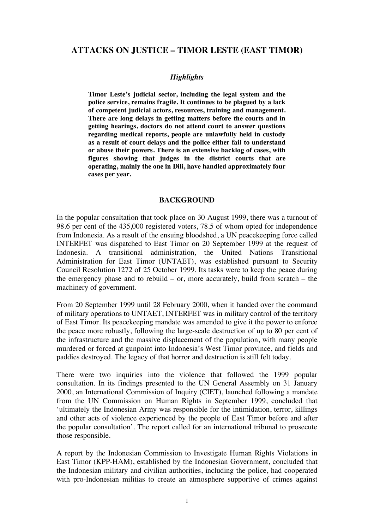# **ATTACKS ON JUSTICE – TIMOR LESTE (EAST TIMOR)**

#### *Highlights*

**Timor Leste's judicial sector, including the legal system and the police service, remains fragile. It continues to be plagued by a lack of competent judicial actors, resources, training and management. There are long delays in getting matters before the courts and in getting hearings, doctors do not attend court to answer questions regarding medical reports, people are unlawfully held in custody as a result of court delays and the police either fail to understand or abuse their powers. There is an extensive backlog of cases, with figures showing that judges in the district courts that are operating, mainly the one in Dili, have handled approximately four cases per year.** 

#### **BACKGROUND**

In the popular consultation that took place on 30 August 1999, there was a turnout of 98.6 per cent of the 435,000 registered voters, 78.5 of whom opted for independence from Indonesia. As a result of the ensuing bloodshed, a UN peacekeeping force called INTERFET was dispatched to East Timor on 20 September 1999 at the request of Indonesia. A transitional administration, the United Nations Transitional Administration for East Timor (UNTAET), was established pursuant to Security Council Resolution 1272 of 25 October 1999. Its tasks were to keep the peace during the emergency phase and to rebuild  $-$  or, more accurately, build from scratch  $-$  the machinery of government.

From 20 September 1999 until 28 February 2000, when it handed over the command of military operations to UNTAET, INTERFET was in military control of the territory of East Timor. Its peacekeeping mandate was amended to give it the power to enforce the peace more robustly, following the large-scale destruction of up to 80 per cent of the infrastructure and the massive displacement of the population, with many people murdered or forced at gunpoint into Indonesia's West Timor province, and fields and paddies destroyed. The legacy of that horror and destruction is still felt today.

There were two inquiries into the violence that followed the 1999 popular consultation. In its findings presented to the UN General Assembly on 31 January 2000, an International Commission of Inquiry (CIET), launched following a mandate from the UN Commission on Human Rights in September 1999, concluded that 'ultimately the Indonesian Army was responsible for the intimidation, terror, killings and other acts of violence experienced by the people of East Timor before and after the popular consultation'. The report called for an international tribunal to prosecute those responsible.

A report by the Indonesian Commission to Investigate Human Rights Violations in East Timor (KPP-HAM), established by the Indonesian Government, concluded that the Indonesian military and civilian authorities, including the police, had cooperated with pro-Indonesian militias to create an atmosphere supportive of crimes against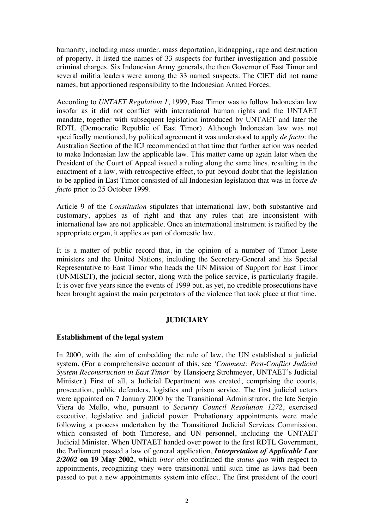humanity, including mass murder, mass deportation, kidnapping, rape and destruction of property. It listed the names of 33 suspects for further investigation and possible criminal charges. Six Indonesian Army generals, the then Governor of East Timor and several militia leaders were among the 33 named suspects. The CIET did not name names, but apportioned responsibility to the Indonesian Armed Forces.

According to *UNTAET Regulation 1*, 1999, East Timor was to follow Indonesian law insofar as it did not conflict with international human rights and the UNTAET mandate, together with subsequent legislation introduced by UNTAET and later the RDTL (Democratic Republic of East Timor). Although Indonesian law was not specifically mentioned, by political agreement it was understood to apply *de facto*: the Australian Section of the ICJ recommended at that time that further action was needed to make Indonesian law the applicable law. This matter came up again later when the President of the Court of Appeal issued a ruling along the same lines, resulting in the enactment of a law, with retrospective effect, to put beyond doubt that the legislation to be applied in East Timor consisted of all Indonesian legislation that was in force *de facto* prior to 25 October 1999.

Article 9 of the *Constitution* stipulates that international law, both substantive and customary, applies as of right and that any rules that are inconsistent with international law are not applicable. Once an international instrument is ratified by the appropriate organ, it applies as part of domestic law.

It is a matter of public record that, in the opinion of a number of Timor Leste ministers and the United Nations, including the Secretary-General and his Special Representative to East Timor who heads the UN Mission of Support for East Timor (UNMISET), the judicial sector, along with the police service, is particularly fragile. It is over five years since the events of 1999 but, as yet, no credible prosecutions have been brought against the main perpetrators of the violence that took place at that time.

### **JUDICIARY**

### **Establishment of the legal system**

In 2000, with the aim of embedding the rule of law, the UN established a judicial system. (For a comprehensive account of this, see *'Comment: Post-Conflict Judicial System Reconstruction in East Timor'* by Hansjoerg Strohmeyer, UNTAET's Judicial Minister.) First of all, a Judicial Department was created, comprising the courts, prosecution, public defenders, logistics and prison service. The first judicial actors were appointed on 7 January 2000 by the Transitional Administrator, the late Sergio Viera de Mello, who, pursuant to *Security Council Resolution 1272*, exercised executive, legislative and judicial power. Probationary appointments were made following a process undertaken by the Transitional Judicial Services Commission, which consisted of both Timorese, and UN personnel, including the UNTAET Judicial Minister. When UNTAET handed over power to the first RDTL Government, the Parliament passed a law of general application, *Interpretation of Applicable Law 2/2002* **on 19 May 2002**, which *inter alia* confirmed the *status quo* with respect to appointments, recognizing they were transitional until such time as laws had been passed to put a new appointments system into effect. The first president of the court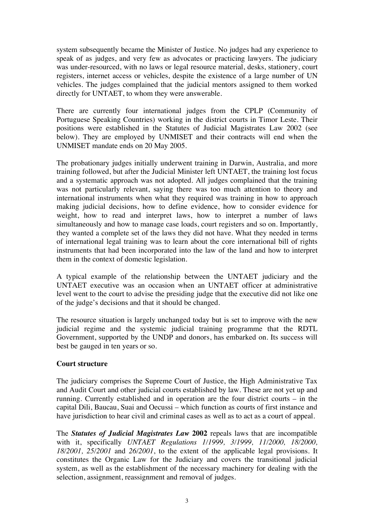system subsequently became the Minister of Justice. No judges had any experience to speak of as judges, and very few as advocates or practicing lawyers. The judiciary was under-resourced, with no laws or legal resource material, desks, stationery, court registers, internet access or vehicles, despite the existence of a large number of UN vehicles. The judges complained that the judicial mentors assigned to them worked directly for UNTAET, to whom they were answerable.

There are currently four international judges from the CPLP (Community of Portuguese Speaking Countries) working in the district courts in Timor Leste. Their positions were established in the Statutes of Judicial Magistrates Law 2002 (see below). They are employed by UNMISET and their contracts will end when the UNMISET mandate ends on 20 May 2005.

The probationary judges initially underwent training in Darwin, Australia, and more training followed, but after the Judicial Minister left UNTAET, the training lost focus and a systematic approach was not adopted. All judges complained that the training was not particularly relevant, saying there was too much attention to theory and international instruments when what they required was training in how to approach making judicial decisions, how to define evidence, how to consider evidence for weight, how to read and interpret laws, how to interpret a number of laws simultaneously and how to manage case loads, court registers and so on. Importantly, they wanted a complete set of the laws they did not have. What they needed in terms of international legal training was to learn about the core international bill of rights instruments that had been incorporated into the law of the land and how to interpret them in the context of domestic legislation.

A typical example of the relationship between the UNTAET judiciary and the UNTAET executive was an occasion when an UNTAET officer at administrative level went to the court to advise the presiding judge that the executive did not like one of the judge's decisions and that it should be changed.

The resource situation is largely unchanged today but is set to improve with the new judicial regime and the systemic judicial training programme that the RDTL Government, supported by the UNDP and donors, has embarked on. Its success will best be gauged in ten years or so.

# **Court structure**

The judiciary comprises the Supreme Court of Justice, the High Administrative Tax and Audit Court and other judicial courts established by law. These are not yet up and running. Currently established and in operation are the four district courts – in the capital Dili, Baucau, Suai and Oecussi – which function as courts of first instance and have jurisdiction to hear civil and criminal cases as well as to act as a court of appeal.

The *Statutes of Judicial Magistrates Law* **2002** repeals laws that are incompatible with it, specifically *UNTAET Regulations 1/1999, 3/1999, 11/2000, 18/2000, 18/2001, 25/2001* and *26/2001*, to the extent of the applicable legal provisions. It constitutes the Organic Law for the Judiciary and covers the transitional judicial system, as well as the establishment of the necessary machinery for dealing with the selection, assignment, reassignment and removal of judges.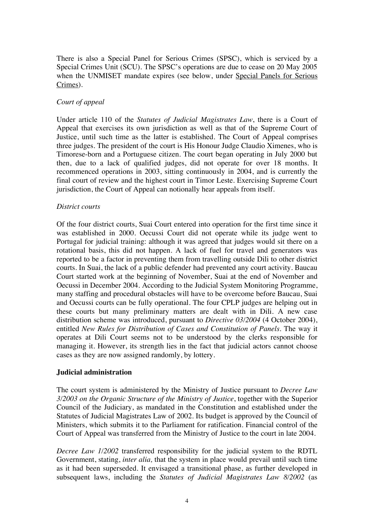There is also a Special Panel for Serious Crimes (SPSC), which is serviced by a Special Crimes Unit (SCU). The SPSC's operations are due to cease on 20 May 2005 when the UNMISET mandate expires (see below, under Special Panels for Serious Crimes).

## *Court of appeal*

Under article 110 of the *Statutes of Judicial Magistrates Law*, there is a Court of Appeal that exercises its own jurisdiction as well as that of the Supreme Court of Justice, until such time as the latter is established. The Court of Appeal comprises three judges. The president of the court is His Honour Judge Claudio Ximenes, who is Timorese-born and a Portuguese citizen. The court began operating in July 2000 but then, due to a lack of qualified judges, did not operate for over 18 months. It recommenced operations in 2003, sitting continuously in 2004, and is currently the final court of review and the highest court in Timor Leste. Exercising Supreme Court jurisdiction, the Court of Appeal can notionally hear appeals from itself.

## *District courts*

Of the four district courts, Suai Court entered into operation for the first time since it was established in 2000. Oecussi Court did not operate while its judge went to Portugal for judicial training: although it was agreed that judges would sit there on a rotational basis, this did not happen. A lack of fuel for travel and generators was reported to be a factor in preventing them from travelling outside Dili to other district courts. In Suai, the lack of a public defender had prevented any court activity. Baucau Court started work at the beginning of November, Suai at the end of November and Oecussi in December 2004. According to the Judicial System Monitoring Programme, many staffing and procedural obstacles will have to be overcome before Baucau, Suai and Oecussi courts can be fully operational. The four CPLP judges are helping out in these courts but many preliminary matters are dealt with in Dili. A new case distribution scheme was introduced, pursuant to *Directive 03/2004* (4 October 2004), entitled *New Rules for Distribution of Cases and Constitution of Panels*. The way it operates at Dili Court seems not to be understood by the clerks responsible for managing it. However, its strength lies in the fact that judicial actors cannot choose cases as they are now assigned randomly, by lottery.

### **Judicial administration**

The court system is administered by the Ministry of Justice pursuant to *Decree Law 3/2003 on the Organic Structure of the Ministry of Justice*, together with the Superior Council of the Judiciary, as mandated in the Constitution and established under the Statutes of Judicial Magistrates Law of 2002. Its budget is approved by the Council of Ministers, which submits it to the Parliament for ratification. Financial control of the Court of Appeal was transferred from the Ministry of Justice to the court in late 2004.

*Decree Law 1/2002* transferred responsibility for the judicial system to the RDTL Government, stating, *inter alia,* that the system in place would prevail until such time as it had been superseded. It envisaged a transitional phase, as further developed in subsequent laws, including the *Statutes of Judicial Magistrates Law 8/2002* (as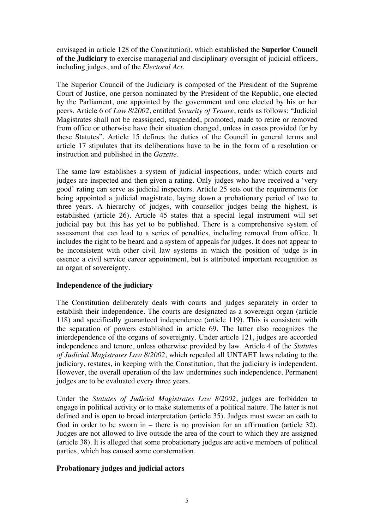envisaged in article 128 of the Constitution), which established the **Superior Council of the Judiciary** to exercise managerial and disciplinary oversight of judicial officers, including judges, and of the *Electoral Act*.

The Superior Council of the Judiciary is composed of the President of the Supreme Court of Justice, one person nominated by the President of the Republic, one elected by the Parliament, one appointed by the government and one elected by his or her peers. Article 6 of *Law 8/2002*, entitled *Security of Tenure*, reads as follows: "Judicial Magistrates shall not be reassigned, suspended, promoted, made to retire or removed from office or otherwise have their situation changed, unless in cases provided for by these Statutes". Article 15 defines the duties of the Council in general terms and article 17 stipulates that its deliberations have to be in the form of a resolution or instruction and published in the *Gazette*.

The same law establishes a system of judicial inspections, under which courts and judges are inspected and then given a rating. Only judges who have received a 'very good' rating can serve as judicial inspectors. Article 25 sets out the requirements for being appointed a judicial magistrate, laying down a probationary period of two to three years. A hierarchy of judges, with counsellor judges being the highest, is established (article 26). Article 45 states that a special legal instrument will set judicial pay but this has yet to be published. There is a comprehensive system of assessment that can lead to a series of penalties, including removal from office. It includes the right to be heard and a system of appeals for judges. It does not appear to be inconsistent with other civil law systems in which the position of judge is in essence a civil service career appointment, but is attributed important recognition as an organ of sovereignty.

# **Independence of the judiciary**

The Constitution deliberately deals with courts and judges separately in order to establish their independence. The courts are designated as a sovereign organ (article 118) and specifically guaranteed independence (article 119). This is consistent with the separation of powers established in article 69. The latter also recognizes the interdependence of the organs of sovereignty. Under article 121, judges are accorded independence and tenure, unless otherwise provided by law. Article 4 of the *Statutes of Judicial Magistrates Law 8/2002*, which repealed all UNTAET laws relating to the judiciary, restates, in keeping with the Constitution, that the judiciary is independent. However, the overall operation of the law undermines such independence. Permanent judges are to be evaluated every three years.

Under the *Statutes of Judicial Magistrates Law 8/2002*, judges are forbidden to engage in political activity or to make statements of a political nature. The latter is not defined and is open to broad interpretation (article 35). Judges must swear an oath to God in order to be sworn in – there is no provision for an affirmation (article 32). Judges are not allowed to live outside the area of the court to which they are assigned (article 38). It is alleged that some probationary judges are active members of political parties, which has caused some consternation.

# **Probationary judges and judicial actors**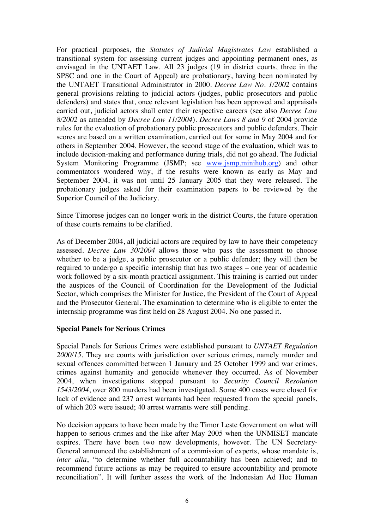For practical purposes, the *Statutes of Judicial Magistrates Law* established a transitional system for assessing current judges and appointing permanent ones, as envisaged in the UNTAET Law. All 23 judges (19 in district courts, three in the SPSC and one in the Court of Appeal) are probationary, having been nominated by the UNTAET Transitional Administrator in 2000. *Decree Law No. 1/2002* contains general provisions relating to judicial actors (judges, public prosecutors and public defenders) and states that, once relevant legislation has been approved and appraisals carried out, judicial actors shall enter their respective careers (see also *Decree Law 8/2002* as amended by *Decree Law 11/2004*). *Decree Laws 8 and 9* of 2004 provide rules for the evaluation of probationary public prosecutors and public defenders. Their scores are based on a written examination, carried out for some in May 2004 and for others in September 2004. However, the second stage of the evaluation, which was to include decision-making and performance during trials, did not go ahead. The Judicial System Monitoring Programme (JSMP; see www.jsmp.minihub.org) and other commentators wondered why, if the results were known as early as May and September 2004, it was not until 25 January 2005 that they were released. The probationary judges asked for their examination papers to be reviewed by the Superior Council of the Judiciary.

Since Timorese judges can no longer work in the district Courts, the future operation of these courts remains to be clarified.

As of December 2004, all judicial actors are required by law to have their competency assessed. *Decree Law 30/2004* allows those who pass the assessment to choose whether to be a judge, a public prosecutor or a public defender; they will then be required to undergo a specific internship that has two stages – one year of academic work followed by a six-month practical assignment. This training is carried out under the auspices of the Council of Coordination for the Development of the Judicial Sector, which comprises the Minister for Justice, the President of the Court of Appeal and the Prosecutor General. The examination to determine who is eligible to enter the internship programme was first held on 28 August 2004. No one passed it.

### **Special Panels for Serious Crimes**

Special Panels for Serious Crimes were established pursuant to *UNTAET Regulation 2000/15*. They are courts with jurisdiction over serious crimes, namely murder and sexual offences committed between 1 January and 25 October 1999 and war crimes, crimes against humanity and genocide whenever they occurred. As of November 2004, when investigations stopped pursuant to *Security Council Resolution 1543/2004*, over 800 murders had been investigated. Some 400 cases were closed for lack of evidence and 237 arrest warrants had been requested from the special panels, of which 203 were issued; 40 arrest warrants were still pending.

No decision appears to have been made by the Timor Leste Government on what will happen to serious crimes and the like after May 2005 when the UNMISET mandate expires. There have been two new developments, however. The UN Secretary-General announced the establishment of a commission of experts, whose mandate is, *inter alia*, "to determine whether full accountability has been achieved; and to recommend future actions as may be required to ensure accountability and promote reconciliation". It will further assess the work of the Indonesian Ad Hoc Human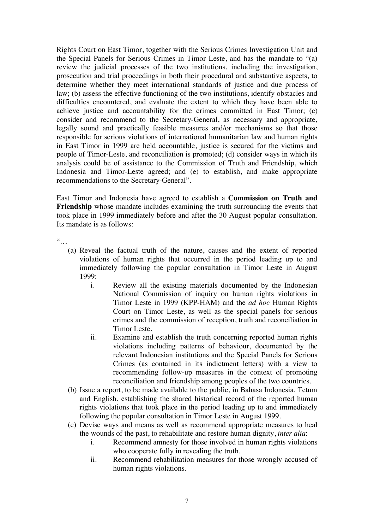Rights Court on East Timor, together with the Serious Crimes Investigation Unit and the Special Panels for Serious Crimes in Timor Leste, and has the mandate to "(a) review the judicial processes of the two institutions, including the investigation, prosecution and trial proceedings in both their procedural and substantive aspects, to determine whether they meet international standards of justice and due process of law; (b) assess the effective functioning of the two institutions, identify obstacles and difficulties encountered, and evaluate the extent to which they have been able to achieve justice and accountability for the crimes committed in East Timor; (c) consider and recommend to the Secretary-General, as necessary and appropriate, legally sound and practically feasible measures and/or mechanisms so that those responsible for serious violations of international humanitarian law and human rights in East Timor in 1999 are held accountable, justice is secured for the victims and people of Timor-Leste, and reconciliation is promoted; (d) consider ways in which its analysis could be of assistance to the Commission of Truth and Friendship, which Indonesia and Timor-Leste agreed; and (e) to establish, and make appropriate recommendations to the Secretary-General".

East Timor and Indonesia have agreed to establish a **Commission on Truth and Friendship** whose mandate includes examining the truth surrounding the events that took place in 1999 immediately before and after the 30 August popular consultation. Its mandate is as follows:

 $\dddot{\ }$ …

- (a) Reveal the factual truth of the nature, causes and the extent of reported violations of human rights that occurred in the period leading up to and immediately following the popular consultation in Timor Leste in August 1999:
	- i. Review all the existing materials documented by the Indonesian National Commission of inquiry on human rights violations in Timor Leste in 1999 (KPP-HAM) and the *ad hoc* Human Rights Court on Timor Leste, as well as the special panels for serious crimes and the commission of reception, truth and reconciliation in Timor Leste.
	- ii. Examine and establish the truth concerning reported human rights violations including patterns of behaviour, documented by the relevant Indonesian institutions and the Special Panels for Serious Crimes (as contained in its indictment letters) with a view to recommending follow-up measures in the context of promoting reconciliation and friendship among peoples of the two countries.
- (b) Issue a report, to be made available to the public, in Bahasa Indonesia, Tetum and English, establishing the shared historical record of the reported human rights violations that took place in the period leading up to and immediately following the popular consultation in Timor Leste in August 1999.
- (c) Devise ways and means as well as recommend appropriate measures to heal the wounds of the past, to rehabilitate and restore human dignity, *inter alia*:
	- i. Recommend amnesty for those involved in human rights violations who cooperate fully in revealing the truth.
	- ii. Recommend rehabilitation measures for those wrongly accused of human rights violations.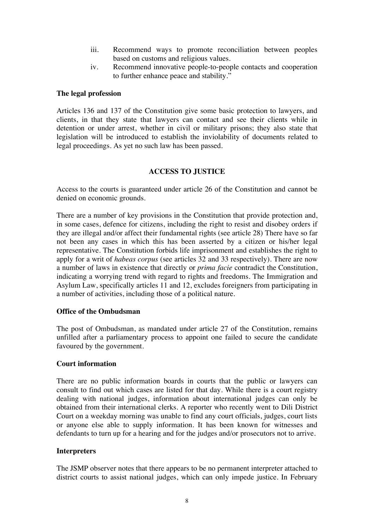- iii. Recommend ways to promote reconciliation between peoples based on customs and religious values.
- iv. Recommend innovative people-to-people contacts and cooperation to further enhance peace and stability."

## **The legal profession**

Articles 136 and 137 of the Constitution give some basic protection to lawyers, and clients, in that they state that lawyers can contact and see their clients while in detention or under arrest, whether in civil or military prisons; they also state that legislation will be introduced to establish the inviolability of documents related to legal proceedings. As yet no such law has been passed.

## **ACCESS TO JUSTICE**

Access to the courts is guaranteed under article 26 of the Constitution and cannot be denied on economic grounds.

There are a number of key provisions in the Constitution that provide protection and, in some cases, defence for citizens, including the right to resist and disobey orders if they are illegal and/or affect their fundamental rights (see article 28) There have so far not been any cases in which this has been asserted by a citizen or his/her legal representative. The Constitution forbids life imprisonment and establishes the right to apply for a writ of *habeas corpus* (see articles 32 and 33 respectively). There are now a number of laws in existence that directly or *prima facie* contradict the Constitution, indicating a worrying trend with regard to rights and freedoms. The Immigration and Asylum Law, specifically articles 11 and 12, excludes foreigners from participating in a number of activities, including those of a political nature.

# **Office of the Ombudsman**

The post of Ombudsman, as mandated under article 27 of the Constitution, remains unfilled after a parliamentary process to appoint one failed to secure the candidate favoured by the government.

### **Court information**

There are no public information boards in courts that the public or lawyers can consult to find out which cases are listed for that day. While there is a court registry dealing with national judges, information about international judges can only be obtained from their international clerks. A reporter who recently went to Dili District Court on a weekday morning was unable to find any court officials, judges, court lists or anyone else able to supply information. It has been known for witnesses and defendants to turn up for a hearing and for the judges and/or prosecutors not to arrive.

### **Interpreters**

The JSMP observer notes that there appears to be no permanent interpreter attached to district courts to assist national judges, which can only impede justice. In February